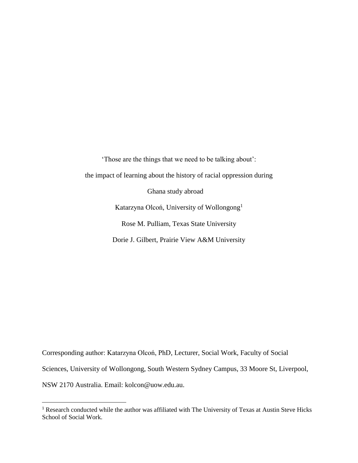'Those are the things that we need to be talking about': the impact of learning about the history of racial oppression during Ghana study abroad Katarzyna Olcoń, University of Wollongong<sup>1</sup> Rose M. Pulliam, Texas State University Dorie J. Gilbert, Prairie View A&M University

Corresponding author: Katarzyna Olcoń, PhD, Lecturer, Social Work, Faculty of Social Sciences, University of Wollongong, South Western Sydney Campus, [33 Moore](https://maps.google.com/?q=33+Moore+St,+Liverpool+NSW+2170&entry=gmail&source=g) [St, Liverpool,](https://maps.google.com/?q=33+Moore+St,+Liverpool+NSW+2170&entry=gmail&source=g)  [NSW 2170](https://maps.google.com/?q=33+Moore+St,+Liverpool+NSW+2170&entry=gmail&source=g) Australia. Email: [kolcon@uow.edu.](mailto:kolcon@uow.edu)au.

<sup>&</sup>lt;sup>1</sup> Research conducted while the author was affiliated with The University of Texas at Austin Steve Hicks School of Social Work.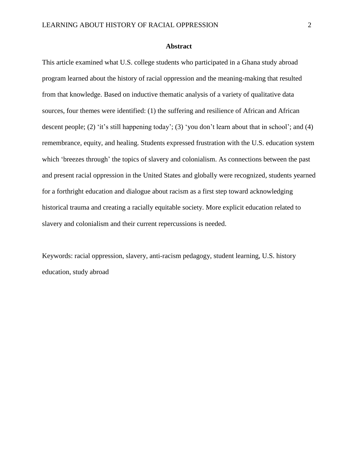#### **Abstract**

This article examined what U.S. college students who participated in a Ghana study abroad program learned about the history of racial oppression and the meaning-making that resulted from that knowledge. Based on inductive thematic analysis of a variety of qualitative data sources, four themes were identified: (1) the suffering and resilience of African and African descent people; (2) 'it's still happening today'; (3) 'you don't learn about that in school'; and (4) remembrance, equity, and healing. Students expressed frustration with the U.S. education system which 'breezes through' the topics of slavery and colonialism. As connections between the past and present racial oppression in the United States and globally were recognized, students yearned for a forthright education and dialogue about racism as a first step toward acknowledging historical trauma and creating a racially equitable society. More explicit education related to slavery and colonialism and their current repercussions is needed.

Keywords: racial oppression, slavery, anti-racism pedagogy, student learning, U.S. history education, study abroad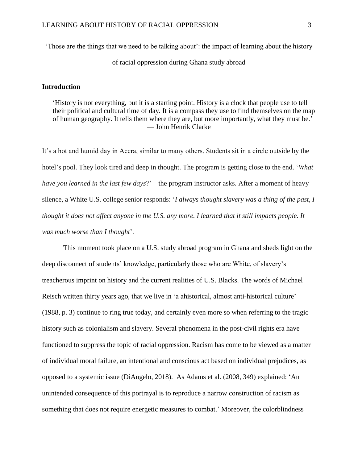'Those are the things that we need to be talking about': the impact of learning about the history

of racial oppression during Ghana study abroad

#### **Introduction**

'History is not everything, but it is a starting point. History is a clock that people use to tell their political and cultural time of day. It is a compass they use to find themselves on the map of human geography. It tells them where they are, but more importantly, what they must be.' ― John Henrik Clarke

It's a hot and humid day in Accra, similar to many others. Students sit in a circle outside by the hotel's pool. They look tired and deep in thought. The program is getting close to the end. '*What have you learned in the last few days*?' – the program instructor asks. After a moment of heavy silence, a White U.S. college senior responds: '*I always thought slavery was a thing of the past, I thought it does not affect anyone in the U.S. any more. I learned that it still impacts people. It was much worse than I thought*'.

This moment took place on a U.S. study abroad program in Ghana and sheds light on the deep disconnect of students' knowledge, particularly those who are White, of slavery's treacherous imprint on history and the current realities of U.S. Blacks. The words of Michael Reisch written thirty years ago, that we live in 'a ahistorical, almost anti-historical culture' (1988, p. 3) continue to ring true today, and certainly even more so when referring to the tragic history such as colonialism and slavery. Several phenomena in the post-civil rights era have functioned to suppress the topic of racial oppression. Racism has come to be viewed as a matter of individual moral failure, an intentional and conscious act based on individual prejudices, as opposed to a systemic issue (DiAngelo, 2018). As Adams et al. (2008, 349) explained: 'An unintended consequence of this portrayal is to reproduce a narrow construction of racism as something that does not require energetic measures to combat.' Moreover, the colorblindness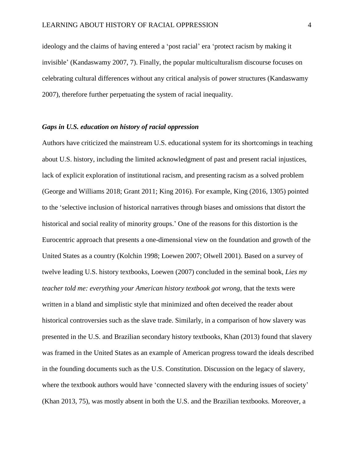ideology and the claims of having entered a 'post racial' era 'protect racism by making it invisible' (Kandaswamy 2007, 7). Finally, the popular multiculturalism discourse focuses on celebrating cultural differences without any critical analysis of power structures (Kandaswamy 2007), therefore further perpetuating the system of racial inequality.

# *Gaps in U.S. education on history of racial oppression*

Authors have criticized the mainstream U.S. educational system for its shortcomings in teaching about U.S. history, including the limited acknowledgment of past and present racial injustices, lack of explicit exploration of institutional racism, and presenting racism as a solved problem (George and Williams 2018; Grant 2011; King 2016). For example, King (2016, 1305) pointed to the 'selective inclusion of historical narratives through biases and omissions that distort the historical and social reality of minority groups.' One of the reasons for this distortion is the Eurocentric approach that presents a one-dimensional view on the foundation and growth of the United States as a country (Kolchin 1998; Loewen 2007; Olwell 2001). Based on a survey of twelve leading U.S. history textbooks, Loewen (2007) concluded in the seminal book, *Lies my teacher told me: everything your American history textbook got wrong,* that the texts were written in a bland and simplistic style that minimized and often deceived the reader about historical controversies such as the slave trade. Similarly, in a comparison of how slavery was presented in the U.S. and Brazilian secondary history textbooks, Khan (2013) found that slavery was framed in the United States as an example of American progress toward the ideals described in the founding documents such as the U.S. Constitution. Discussion on the legacy of slavery, where the textbook authors would have 'connected slavery with the enduring issues of society' (Khan 2013, 75), was mostly absent in both the U.S. and the Brazilian textbooks. Moreover, a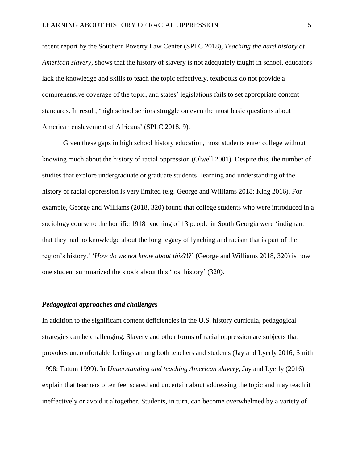recent report by the Southern Poverty Law Center (SPLC 2018), *Teaching the hard history of American slavery*, shows that the history of slavery is not adequately taught in school, educators lack the knowledge and skills to teach the topic effectively, textbooks do not provide a comprehensive coverage of the topic, and states' legislations fails to set appropriate content standards. In result, 'high school seniors struggle on even the most basic questions about American enslavement of Africans' (SPLC 2018, 9).

Given these gaps in high school history education, most students enter college without knowing much about the history of racial oppression (Olwell 2001). Despite this, the number of studies that explore undergraduate or graduate students' learning and understanding of the history of racial oppression is very limited (e.g. George and Williams 2018; King 2016). For example, George and Williams (2018, 320) found that college students who were introduced in a sociology course to the horrific 1918 lynching of 13 people in South Georgia were 'indignant that they had no knowledge about the long legacy of lynching and racism that is part of the region's history.' '*How do we not know about this*?!?' (George and Williams 2018, 320) is how one student summarized the shock about this 'lost history' (320).

## *Pedagogical approaches and challenges*

In addition to the significant content deficiencies in the U.S. history curricula, pedagogical strategies can be challenging. Slavery and other forms of racial oppression are subjects that provokes uncomfortable feelings among both teachers and students (Jay and Lyerly 2016; Smith 1998; Tatum 1999). In *Understanding and teaching American slavery,* Jay and Lyerly (2016) explain that teachers often feel scared and uncertain about addressing the topic and may teach it ineffectively or avoid it altogether. Students, in turn, can become overwhelmed by a variety of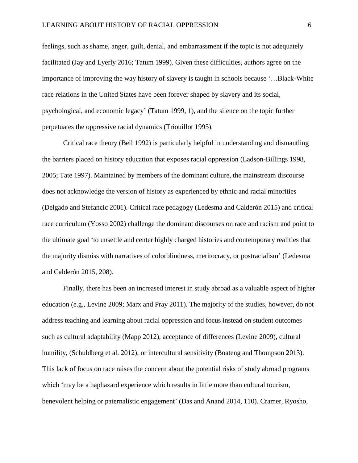feelings, such as shame, anger, guilt, denial, and embarrassment if the topic is not adequately facilitated (Jay and Lyerly 2016; Tatum 1999). Given these difficulties, authors agree on the importance of improving the way history of slavery is taught in schools because '…Black-White race relations in the United States have been forever shaped by slavery and its social, psychological, and economic legacy' (Tatum 1999, 1), and the silence on the topic further perpetuates the oppressive racial dynamics (Triouillot 1995).

Critical race theory (Bell 1992) is particularly helpful in understanding and dismantling the barriers placed on history education that exposes racial oppression (Ladson-Billings 1998, 2005; Tate 1997). Maintained by members of the dominant culture, the mainstream discourse does not acknowledge the version of history as experienced by ethnic and racial minorities (Delgado and Stefancic 2001). Critical race pedagogy (Ledesma and Calderón 2015) and critical race curriculum (Yosso 2002) challenge the dominant discourses on race and racism and point to the ultimate goal 'to unsettle and center highly charged histories and contemporary realities that the majority dismiss with narratives of colorblindness, meritocracy, or postracialism' (Ledesma and Calderón 2015, 208).

Finally, there has been an increased interest in study abroad as a valuable aspect of higher education (e.g., Levine 2009; Marx and Pray 2011). The majority of the studies, however, do not address teaching and learning about racial oppression and focus instead on student outcomes such as cultural adaptability (Mapp 2012), acceptance of differences (Levine 2009), cultural humility, (Schuldberg et al. 2012), or intercultural sensitivity (Boateng and Thompson 2013). This lack of focus on race raises the concern about the potential risks of study abroad programs which 'may be a haphazard experience which results in little more than cultural tourism, benevolent helping or paternalistic engagement' (Das and Anand 2014, 110). Cramer, Ryosho,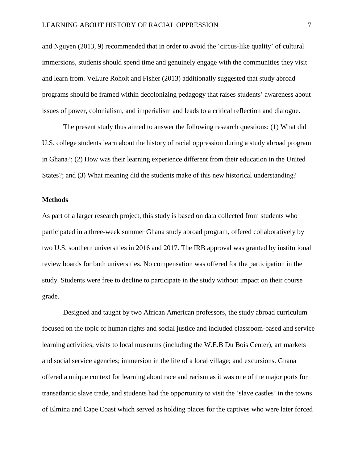and Nguyen (2013, 9) recommended that in order to avoid the 'circus-like quality' of cultural immersions, students should spend time and genuinely engage with the communities they visit and learn from. VeLure Roholt and Fisher (2013) additionally suggested that study abroad programs should be framed within decolonizing pedagogy that raises students' awareness about issues of power, colonialism, and imperialism and leads to a critical reflection and dialogue.

The present study thus aimed to answer the following research questions: (1) What did U.S. college students learn about the history of racial oppression during a study abroad program in Ghana?; (2) How was their learning experience different from their education in the United States?; and (3) What meaning did the students make of this new historical understanding?

# **Methods**

As part of a larger research project, this study is based on data collected from students who participated in a three-week summer Ghana study abroad program, offered collaboratively by two U.S. southern universities in 2016 and 2017. The IRB approval was granted by institutional review boards for both universities. No compensation was offered for the participation in the study. Students were free to decline to participate in the study without impact on their course grade.

Designed and taught by two African American professors, the study abroad curriculum focused on the topic of human rights and social justice and included classroom-based and service learning activities; visits to local museums (including the W.E.B Du Bois Center), art markets and social service agencies; immersion in the life of a local village; and excursions. Ghana offered a unique context for learning about race and racism as it was one of the major ports for transatlantic slave trade, and students had the opportunity to visit the 'slave castles' in the towns of Elmina and Cape Coast which served as holding places for the captives who were later forced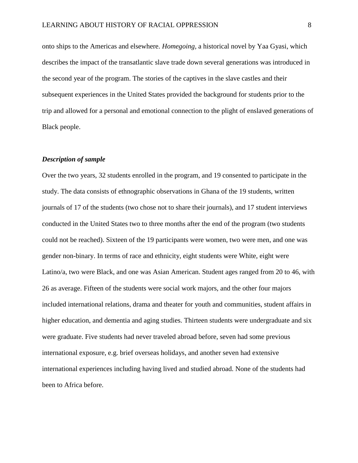onto ships to the Americas and elsewhere. *Homegoing,* a historical novel by Yaa Gyasi, which describes the impact of the transatlantic slave trade down several generations was introduced in the second year of the program. The stories of the captives in the slave castles and their subsequent experiences in the United States provided the background for students prior to the trip and allowed for a personal and emotional connection to the plight of enslaved generations of Black people.

## *Description of sample*

Over the two years, 32 students enrolled in the program, and 19 consented to participate in the study. The data consists of ethnographic observations in Ghana of the 19 students, written journals of 17 of the students (two chose not to share their journals), and 17 student interviews conducted in the United States two to three months after the end of the program (two students could not be reached). Sixteen of the 19 participants were women, two were men, and one was gender non-binary. In terms of race and ethnicity, eight students were White, eight were Latino/a, two were Black, and one was Asian American. Student ages ranged from 20 to 46, with 26 as average. Fifteen of the students were social work majors, and the other four majors included international relations, drama and theater for youth and communities, student affairs in higher education, and dementia and aging studies. Thirteen students were undergraduate and six were graduate. Five students had never traveled abroad before, seven had some previous international exposure, e.g. brief overseas holidays, and another seven had extensive international experiences including having lived and studied abroad. None of the students had been to Africa before.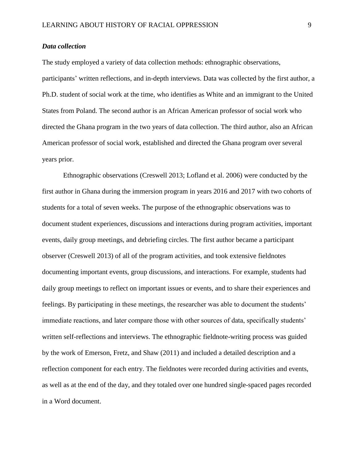## *Data collection*

The study employed a variety of data collection methods: ethnographic observations, participants' written reflections, and in-depth interviews. Data was collected by the first author, a Ph.D. student of social work at the time, who identifies as White and an immigrant to the United States from Poland. The second author is an African American professor of social work who directed the Ghana program in the two years of data collection. The third author, also an African American professor of social work, established and directed the Ghana program over several years prior.

Ethnographic observations (Creswell 2013; Lofland et al. 2006) were conducted by the first author in Ghana during the immersion program in years 2016 and 2017 with two cohorts of students for a total of seven weeks. The purpose of the ethnographic observations was to document student experiences, discussions and interactions during program activities, important events, daily group meetings, and debriefing circles. The first author became a participant observer (Creswell 2013) of all of the program activities, and took extensive fieldnotes documenting important events, group discussions, and interactions. For example, students had daily group meetings to reflect on important issues or events, and to share their experiences and feelings. By participating in these meetings, the researcher was able to document the students' immediate reactions, and later compare those with other sources of data, specifically students' written self-reflections and interviews. The ethnographic fieldnote-writing process was guided by the work of Emerson, Fretz, and Shaw (2011) and included a detailed description and a reflection component for each entry. The fieldnotes were recorded during activities and events, as well as at the end of the day, and they totaled over one hundred single-spaced pages recorded in a Word document.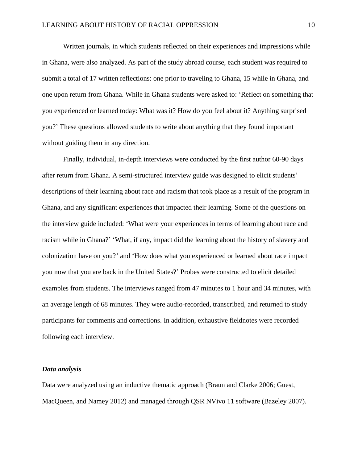Written journals, in which students reflected on their experiences and impressions while in Ghana, were also analyzed. As part of the study abroad course, each student was required to submit a total of 17 written reflections: one prior to traveling to Ghana, 15 while in Ghana, and one upon return from Ghana. While in Ghana students were asked to: 'Reflect on something that you experienced or learned today: What was it? How do you feel about it? Anything surprised you?' These questions allowed students to write about anything that they found important without guiding them in any direction.

Finally, individual, in-depth interviews were conducted by the first author 60-90 days after return from Ghana. A semi-structured interview guide was designed to elicit students' descriptions of their learning about race and racism that took place as a result of the program in Ghana, and any significant experiences that impacted their learning. Some of the questions on the interview guide included: 'What were your experiences in terms of learning about race and racism while in Ghana?' 'What, if any, impact did the learning about the history of slavery and colonization have on you?' and 'How does what you experienced or learned about race impact you now that you are back in the United States?' Probes were constructed to elicit detailed examples from students. The interviews ranged from 47 minutes to 1 hour and 34 minutes, with an average length of 68 minutes. They were audio-recorded, transcribed, and returned to study participants for comments and corrections. In addition, exhaustive fieldnotes were recorded following each interview.

#### *Data analysis*

Data were analyzed using an inductive thematic approach (Braun and Clarke 2006; Guest, MacQueen, and Namey 2012) and managed through QSR NVivo 11 software (Bazeley 2007).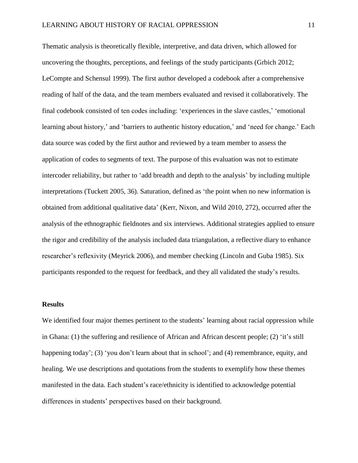Thematic analysis is theoretically flexible, interpretive, and data driven, which allowed for uncovering the thoughts, perceptions, and feelings of the study participants (Grbich 2012; LeCompte and Schensul 1999). The first author developed a codebook after a comprehensive reading of half of the data, and the team members evaluated and revised it collaboratively. The final codebook consisted of ten codes including: 'experiences in the slave castles,' 'emotional learning about history,' and 'barriers to authentic history education,' and 'need for change.' Each data source was coded by the first author and reviewed by a team member to assess the application of codes to segments of text. The purpose of this evaluation was not to estimate intercoder reliability, but rather to 'add breadth and depth to the analysis' by including multiple interpretations (Tuckett 2005, 36). Saturation, defined as 'the point when no new information is obtained from additional qualitative data' (Kerr, Nixon, and Wild 2010, 272), occurred after the analysis of the ethnographic fieldnotes and six interviews. Additional strategies applied to ensure the rigor and credibility of the analysis included data triangulation, a reflective diary to enhance researcher's reflexivity (Meyrick 2006), and member checking (Lincoln and Guba 1985). Six participants responded to the request for feedback, and they all validated the study's results.

#### **Results**

We identified four major themes pertinent to the students' learning about racial oppression while in Ghana: (1) the suffering and resilience of African and African descent people; (2) 'it's still happening today'; (3) 'you don't learn about that in school'; and (4) remembrance, equity, and healing. We use descriptions and quotations from the students to exemplify how these themes manifested in the data. Each student's race/ethnicity is identified to acknowledge potential differences in students' perspectives based on their background.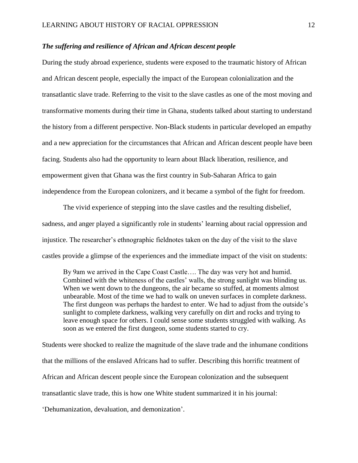## *The suffering and resilience of African and African descent people*

During the study abroad experience, students were exposed to the traumatic history of African and African descent people, especially the impact of the European colonialization and the transatlantic slave trade. Referring to the visit to the slave castles as one of the most moving and transformative moments during their time in Ghana, students talked about starting to understand the history from a different perspective. Non-Black students in particular developed an empathy and a new appreciation for the circumstances that African and African descent people have been facing. Students also had the opportunity to learn about Black liberation, resilience, and empowerment given that Ghana was the first country in Sub-Saharan Africa to gain independence from the European colonizers, and it became a symbol of the fight for freedom.

The vivid experience of stepping into the slave castles and the resulting disbelief, sadness, and anger played a significantly role in students' learning about racial oppression and injustice. The researcher's ethnographic fieldnotes taken on the day of the visit to the slave castles provide a glimpse of the experiences and the immediate impact of the visit on students:

By 9am we arrived in the Cape Coast Castle…. The day was very hot and humid. Combined with the whiteness of the castles' walls, the strong sunlight was blinding us. When we went down to the dungeons, the air became so stuffed, at moments almost unbearable. Most of the time we had to walk on uneven surfaces in complete darkness. The first dungeon was perhaps the hardest to enter. We had to adjust from the outside's sunlight to complete darkness, walking very carefully on dirt and rocks and trying to leave enough space for others. I could sense some students struggled with walking. As soon as we entered the first dungeon, some students started to cry.

Students were shocked to realize the magnitude of the slave trade and the inhumane conditions that the millions of the enslaved Africans had to suffer. Describing this horrific treatment of African and African descent people since the European colonization and the subsequent transatlantic slave trade, this is how one White student summarized it in his journal:

'Dehumanization, devaluation, and demonization'.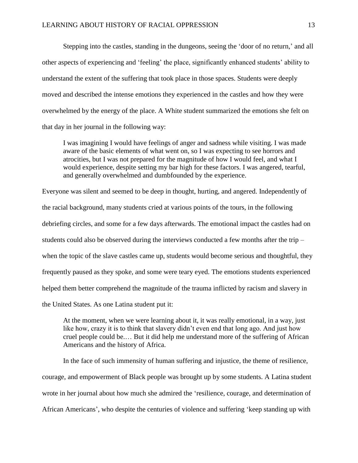Stepping into the castles, standing in the dungeons, seeing the 'door of no return,' and all other aspects of experiencing and 'feeling' the place, significantly enhanced students' ability to understand the extent of the suffering that took place in those spaces. Students were deeply moved and described the intense emotions they experienced in the castles and how they were overwhelmed by the energy of the place. A White student summarized the emotions she felt on that day in her journal in the following way:

I was imagining I would have feelings of anger and sadness while visiting. I was made aware of the basic elements of what went on, so I was expecting to see horrors and atrocities, but I was not prepared for the magnitude of how I would feel, and what I would experience, despite setting my bar high for these factors. I was angered, tearful, and generally overwhelmed and dumbfounded by the experience.

Everyone was silent and seemed to be deep in thought, hurting, and angered. Independently of the racial background, many students cried at various points of the tours, in the following debriefing circles, and some for a few days afterwards. The emotional impact the castles had on students could also be observed during the interviews conducted a few months after the trip – when the topic of the slave castles came up, students would become serious and thoughtful, they frequently paused as they spoke, and some were teary eyed. The emotions students experienced helped them better comprehend the magnitude of the trauma inflicted by racism and slavery in the United States. As one Latina student put it:

At the moment, when we were learning about it, it was really emotional, in a way, just like how, crazy it is to think that slavery didn't even end that long ago. And just how cruel people could be.… But it did help me understand more of the suffering of African Americans and the history of Africa.

In the face of such immensity of human suffering and injustice, the theme of resilience, courage, and empowerment of Black people was brought up by some students. A Latina student wrote in her journal about how much she admired the 'resilience, courage, and determination of African Americans', who despite the centuries of violence and suffering 'keep standing up with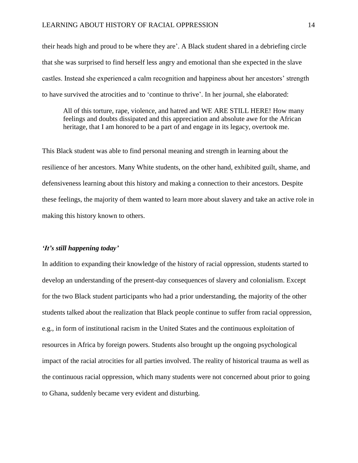their heads high and proud to be where they are'. A Black student shared in a debriefing circle that she was surprised to find herself less angry and emotional than she expected in the slave castles. Instead she experienced a calm recognition and happiness about her ancestors' strength to have survived the atrocities and to 'continue to thrive'. In her journal, she elaborated:

All of this torture, rape, violence, and hatred and WE ARE STILL HERE! How many feelings and doubts dissipated and this appreciation and absolute awe for the African heritage, that I am honored to be a part of and engage in its legacy, overtook me.

This Black student was able to find personal meaning and strength in learning about the resilience of her ancestors. Many White students, on the other hand, exhibited guilt, shame, and defensiveness learning about this history and making a connection to their ancestors. Despite these feelings, the majority of them wanted to learn more about slavery and take an active role in making this history known to others.

#### *'It's still happening today'*

In addition to expanding their knowledge of the history of racial oppression, students started to develop an understanding of the present-day consequences of slavery and colonialism. Except for the two Black student participants who had a prior understanding, the majority of the other students talked about the realization that Black people continue to suffer from racial oppression, e.g., in form of institutional racism in the United States and the continuous exploitation of resources in Africa by foreign powers. Students also brought up the ongoing psychological impact of the racial atrocities for all parties involved. The reality of historical trauma as well as the continuous racial oppression, which many students were not concerned about prior to going to Ghana, suddenly became very evident and disturbing.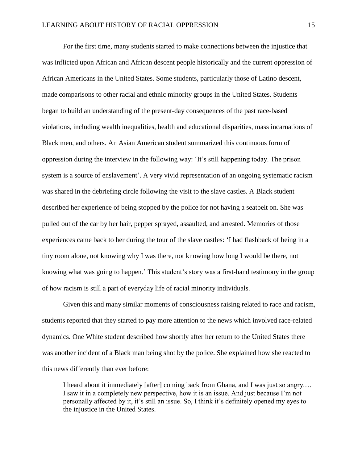For the first time, many students started to make connections between the injustice that was inflicted upon African and African descent people historically and the current oppression of African Americans in the United States. Some students, particularly those of Latino descent, made comparisons to other racial and ethnic minority groups in the United States. Students began to build an understanding of the present-day consequences of the past race-based violations, including wealth inequalities, health and educational disparities, mass incarnations of Black men, and others. An Asian American student summarized this continuous form of oppression during the interview in the following way: 'It's still happening today. The prison system is a source of enslavement'. A very vivid representation of an ongoing systematic racism was shared in the debriefing circle following the visit to the slave castles. A Black student described her experience of being stopped by the police for not having a seatbelt on. She was pulled out of the car by her hair, pepper sprayed, assaulted, and arrested. Memories of those experiences came back to her during the tour of the slave castles: 'I had flashback of being in a tiny room alone, not knowing why I was there, not knowing how long I would be there, not knowing what was going to happen.' This student's story was a first-hand testimony in the group of how racism is still a part of everyday life of racial minority individuals.

Given this and many similar moments of consciousness raising related to race and racism, students reported that they started to pay more attention to the news which involved race-related dynamics. One White student described how shortly after her return to the United States there was another incident of a Black man being shot by the police. She explained how she reacted to this news differently than ever before:

I heard about it immediately [after] coming back from Ghana, and I was just so angry.… I saw it in a completely new perspective, how it is an issue. And just because I'm not personally affected by it, it's still an issue. So, I think it's definitely opened my eyes to the injustice in the United States.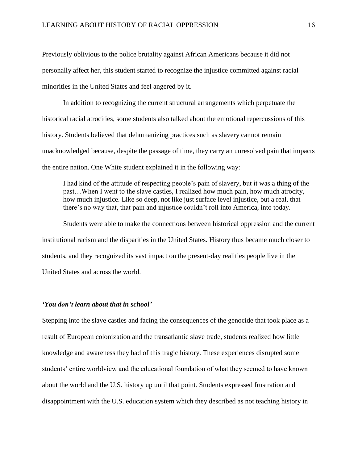Previously oblivious to the police brutality against African Americans because it did not personally affect her, this student started to recognize the injustice committed against racial minorities in the United States and feel angered by it.

In addition to recognizing the current structural arrangements which perpetuate the historical racial atrocities, some students also talked about the emotional repercussions of this history. Students believed that dehumanizing practices such as slavery cannot remain unacknowledged because, despite the passage of time, they carry an unresolved pain that impacts the entire nation. One White student explained it in the following way:

I had kind of the attitude of respecting people's pain of slavery, but it was a thing of the past…When I went to the slave castles, I realized how much pain, how much atrocity, how much injustice. Like so deep, not like just surface level injustice, but a real, that there's no way that, that pain and injustice couldn't roll into America, into today.

Students were able to make the connections between historical oppression and the current institutional racism and the disparities in the United States. History thus became much closer to students, and they recognized its vast impact on the present-day realities people live in the United States and across the world.

## *'You don't learn about that in school'*

Stepping into the slave castles and facing the consequences of the genocide that took place as a result of European colonization and the transatlantic slave trade, students realized how little knowledge and awareness they had of this tragic history. These experiences disrupted some students' entire worldview and the educational foundation of what they seemed to have known about the world and the U.S. history up until that point. Students expressed frustration and disappointment with the U.S. education system which they described as not teaching history in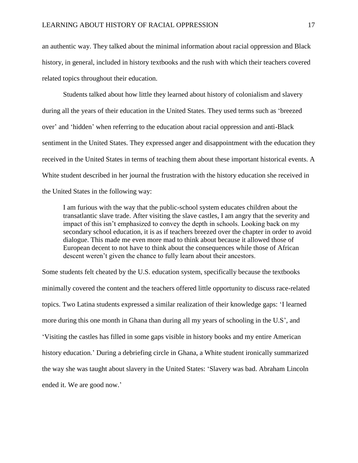an authentic way. They talked about the minimal information about racial oppression and Black history, in general, included in history textbooks and the rush with which their teachers covered related topics throughout their education.

Students talked about how little they learned about history of colonialism and slavery during all the years of their education in the United States. They used terms such as 'breezed over' and 'hidden' when referring to the education about racial oppression and anti-Black sentiment in the United States. They expressed anger and disappointment with the education they received in the United States in terms of teaching them about these important historical events. A White student described in her journal the frustration with the history education she received in the United States in the following way:

I am furious with the way that the public-school system educates children about the transatlantic slave trade. After visiting the slave castles, I am angry that the severity and impact of this isn't emphasized to convey the depth in schools. Looking back on my secondary school education, it is as if teachers breezed over the chapter in order to avoid dialogue. This made me even more mad to think about because it allowed those of European decent to not have to think about the consequences while those of African descent weren't given the chance to fully learn about their ancestors.

Some students felt cheated by the U.S. education system, specifically because the textbooks minimally covered the content and the teachers offered little opportunity to discuss race-related topics. Two Latina students expressed a similar realization of their knowledge gaps: 'I learned more during this one month in Ghana than during all my years of schooling in the U.S', and 'Visiting the castles has filled in some gaps visible in history books and my entire American history education.' During a debriefing circle in Ghana, a White student ironically summarized the way she was taught about slavery in the United States: 'Slavery was bad. Abraham Lincoln ended it. We are good now.'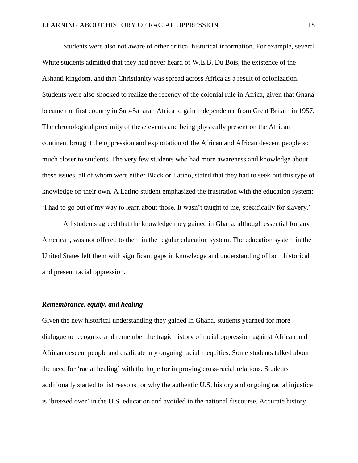Students were also not aware of other critical historical information. For example, several White students admitted that they had never heard of W.E.B. Du Bois, the existence of the Ashanti kingdom, and that Christianity was spread across Africa as a result of colonization. Students were also shocked to realize the recency of the colonial rule in Africa, given that Ghana became the first country in Sub-Saharan Africa to gain independence from Great Britain in 1957. The chronological proximity of these events and being physically present on the African continent brought the oppression and exploitation of the African and African descent people so much closer to students. The very few students who had more awareness and knowledge about these issues, all of whom were either Black or Latino, stated that they had to seek out this type of knowledge on their own. A Latino student emphasized the frustration with the education system: 'I had to go out of my way to learn about those. It wasn't taught to me, specifically for slavery.'

All students agreed that the knowledge they gained in Ghana, although essential for any American, was not offered to them in the regular education system. The education system in the United States left them with significant gaps in knowledge and understanding of both historical and present racial oppression.

## *Remembrance, equity, and healing*

Given the new historical understanding they gained in Ghana, students yearned for more dialogue to recognize and remember the tragic history of racial oppression against African and African descent people and eradicate any ongoing racial inequities. Some students talked about the need for 'racial healing' with the hope for improving cross-racial relations. Students additionally started to list reasons for why the authentic U.S. history and ongoing racial injustice is 'breezed over' in the U.S. education and avoided in the national discourse. Accurate history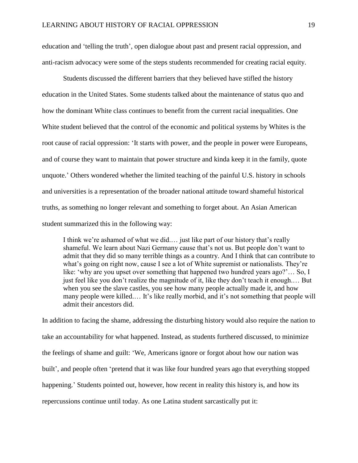education and 'telling the truth', open dialogue about past and present racial oppression, and anti-racism advocacy were some of the steps students recommended for creating racial equity.

Students discussed the different barriers that they believed have stifled the history education in the United States. Some students talked about the maintenance of status quo and how the dominant White class continues to benefit from the current racial inequalities. One White student believed that the control of the economic and political systems by Whites is the root cause of racial oppression: 'It starts with power, and the people in power were Europeans, and of course they want to maintain that power structure and kinda keep it in the family, quote unquote.' Others wondered whether the limited teaching of the painful U.S. history in schools and universities is a representation of the broader national attitude toward shameful historical truths, as something no longer relevant and something to forget about. An Asian American student summarized this in the following way:

I think we're ashamed of what we did.… just like part of our history that's really shameful. We learn about Nazi Germany cause that's not us. But people don't want to admit that they did so many terrible things as a country. And I think that can contribute to what's going on right now, cause I see a lot of White supremist or nationalists. They're like: 'why are you upset over something that happened two hundred years ago?'… So, I just feel like you don't realize the magnitude of it, like they don't teach it enough.… But when you see the slave castles, you see how many people actually made it, and how many people were killed.… It's like really morbid, and it's not something that people will admit their ancestors did.

In addition to facing the shame, addressing the disturbing history would also require the nation to take an accountability for what happened. Instead, as students furthered discussed, to minimize the feelings of shame and guilt: 'We, Americans ignore or forgot about how our nation was built', and people often 'pretend that it was like four hundred years ago that everything stopped happening.' Students pointed out, however, how recent in reality this history is, and how its repercussions continue until today. As one Latina student sarcastically put it: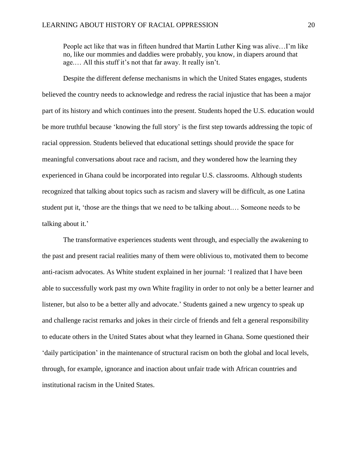People act like that was in fifteen hundred that Martin Luther King was alive…I'm like no, like our mommies and daddies were probably, you know, in diapers around that age.… All this stuff it's not that far away. It really isn't.

Despite the different defense mechanisms in which the United States engages, students believed the country needs to acknowledge and redress the racial injustice that has been a major part of its history and which continues into the present. Students hoped the U.S. education would be more truthful because 'knowing the full story' is the first step towards addressing the topic of racial oppression. Students believed that educational settings should provide the space for meaningful conversations about race and racism, and they wondered how the learning they experienced in Ghana could be incorporated into regular U.S. classrooms. Although students recognized that talking about topics such as racism and slavery will be difficult, as one Latina student put it, 'those are the things that we need to be talking about.… Someone needs to be talking about it.'

The transformative experiences students went through, and especially the awakening to the past and present racial realities many of them were oblivious to, motivated them to become anti-racism advocates. As White student explained in her journal: 'I realized that I have been able to successfully work past my own White fragility in order to not only be a better learner and listener, but also to be a better ally and advocate.' Students gained a new urgency to speak up and challenge racist remarks and jokes in their circle of friends and felt a general responsibility to educate others in the United States about what they learned in Ghana. Some questioned their 'daily participation' in the maintenance of structural racism on both the global and local levels, through, for example, ignorance and inaction about unfair trade with African countries and institutional racism in the United States.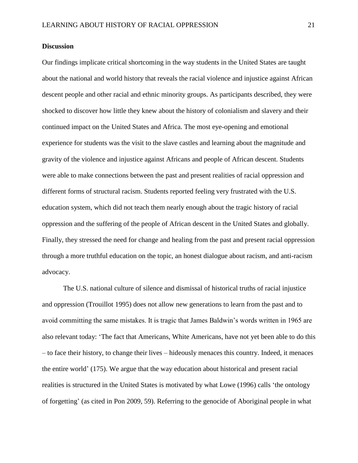## **Discussion**

Our findings implicate critical shortcoming in the way students in the United States are taught about the national and world history that reveals the racial violence and injustice against African descent people and other racial and ethnic minority groups. As participants described, they were shocked to discover how little they knew about the history of colonialism and slavery and their continued impact on the United States and Africa. The most eye-opening and emotional experience for students was the visit to the slave castles and learning about the magnitude and gravity of the violence and injustice against Africans and people of African descent. Students were able to make connections between the past and present realities of racial oppression and different forms of structural racism. Students reported feeling very frustrated with the U.S. education system, which did not teach them nearly enough about the tragic history of racial oppression and the suffering of the people of African descent in the United States and globally. Finally, they stressed the need for change and healing from the past and present racial oppression through a more truthful education on the topic, an honest dialogue about racism, and anti-racism advocacy.

The U.S. national culture of silence and dismissal of historical truths of racial injustice and oppression (Trouillot 1995) does not allow new generations to learn from the past and to avoid committing the same mistakes. It is tragic that James Baldwin's words written in 1965 are also relevant today: 'The fact that Americans, White Americans, have not yet been able to do this – to face their history, to change their lives – hideously menaces this country. Indeed, it menaces the entire world' (175). We argue that the way education about historical and present racial realities is structured in the United States is motivated by what Lowe (1996) calls 'the ontology of forgetting' (as cited in Pon 2009, 59). Referring to the genocide of Aboriginal people in what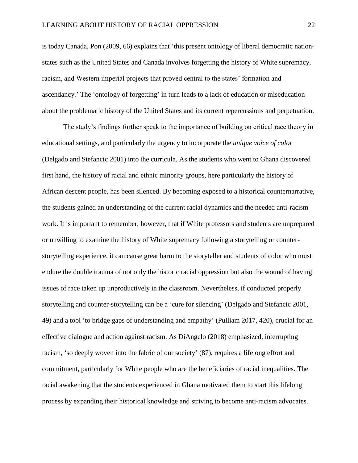is today Canada, Pon (2009, 66) explains that 'this present ontology of liberal democratic nationstates such as the United States and Canada involves forgetting the history of White supremacy, racism, and Western imperial projects that proved central to the states' formation and ascendancy.' The 'ontology of forgetting' in turn leads to a lack of education or miseducation about the problematic history of the United States and its current repercussions and perpetuation.

The study's findings further speak to the importance of building on critical race theory in educational settings, and particularly the urgency to incorporate the *unique voice of color* (Delgado and Stefancic 2001) into the curricula. As the students who went to Ghana discovered first hand, the history of racial and ethnic minority groups, here particularly the history of African descent people, has been silenced. By becoming exposed to a historical counternarrative, the students gained an understanding of the current racial dynamics and the needed anti-racism work. It is important to remember, however, that if White professors and students are unprepared or unwilling to examine the history of White supremacy following a storytelling or counterstorytelling experience, it can cause great harm to the storyteller and students of color who must endure the double trauma of not only the historic racial oppression but also the wound of having issues of race taken up unproductively in the classroom. Nevertheless, if conducted properly storytelling and counter-storytelling can be a 'cure for silencing' (Delgado and Stefancic 2001, 49) and a tool 'to bridge gaps of understanding and empathy' (Pulliam 2017, 420), crucial for an effective dialogue and action against racism. As DiAngelo (2018) emphasized, interrupting racism, 'so deeply woven into the fabric of our society' (87), requires a lifelong effort and commitment, particularly for White people who are the beneficiaries of racial inequalities. The racial awakening that the students experienced in Ghana motivated them to start this lifelong process by expanding their historical knowledge and striving to become anti-racism advocates.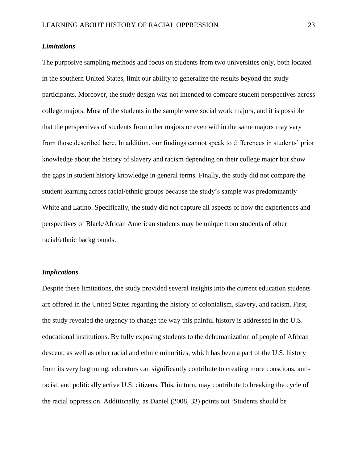# *Limitations*

The purposive sampling methods and focus on students from two universities only, both located in the southern United States, limit our ability to generalize the results beyond the study participants. Moreover, the study design was not intended to compare student perspectives across college majors. Most of the students in the sample were social work majors, and it is possible that the perspectives of students from other majors or even within the same majors may vary from those described here. In addition, our findings cannot speak to differences in students' prior knowledge about the history of slavery and racism depending on their college major but show the gaps in student history knowledge in general terms. Finally, the study did not compare the student learning across racial/ethnic groups because the study's sample was predominantly White and Latino. Specifically, the study did not capture all aspects of how the experiences and perspectives of Black/African American students may be unique from students of other racial/ethnic backgrounds.

## *Implications*

Despite these limitations, the study provided several insights into the current education students are offered in the United States regarding the history of colonialism, slavery, and racism. First, the study revealed the urgency to change the way this painful history is addressed in the U.S. educational institutions. By fully exposing students to the dehumanization of people of African descent, as well as other racial and ethnic minorities, which has been a part of the U.S. history from its very beginning, educators can significantly contribute to creating more conscious, antiracist, and politically active U.S. citizens. This, in turn, may contribute to breaking the cycle of the racial oppression. Additionally, as Daniel (2008, 33) points out 'Students should be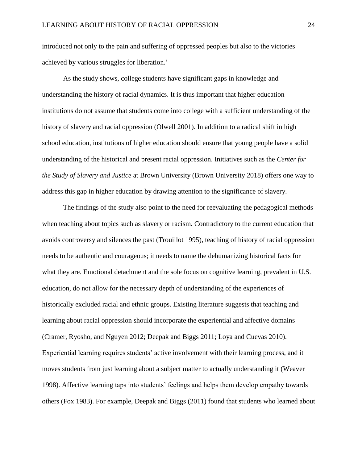introduced not only to the pain and suffering of oppressed peoples but also to the victories achieved by various struggles for liberation.'

As the study shows, college students have significant gaps in knowledge and understanding the history of racial dynamics. It is thus important that higher education institutions do not assume that students come into college with a sufficient understanding of the history of slavery and racial oppression (Olwell 2001). In addition to a radical shift in high school education, institutions of higher education should ensure that young people have a solid understanding of the historical and present racial oppression. Initiatives such as the *Center for the Study of Slavery and Justice* at Brown University (Brown University 2018) offers one way to address this gap in higher education by drawing attention to the significance of slavery.

The findings of the study also point to the need for reevaluating the pedagogical methods when teaching about topics such as slavery or racism. Contradictory to the current education that avoids controversy and silences the past (Trouillot 1995), teaching of history of racial oppression needs to be authentic and courageous; it needs to name the dehumanizing historical facts for what they are. Emotional detachment and the sole focus on cognitive learning, prevalent in U.S. education, do not allow for the necessary depth of understanding of the experiences of historically excluded racial and ethnic groups. Existing literature suggests that teaching and learning about racial oppression should incorporate the experiential and affective domains (Cramer, Ryosho, and Nguyen 2012; Deepak and Biggs 2011; Loya and Cuevas 2010). Experiential learning requires students' active involvement with their learning process, and it moves students from just learning about a subject matter to actually understanding it (Weaver 1998). Affective learning taps into students' feelings and helps them develop empathy towards others (Fox 1983). For example, Deepak and Biggs (2011) found that students who learned about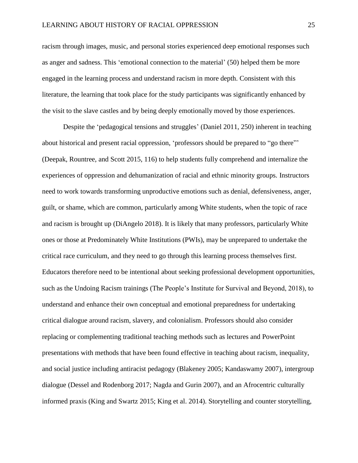racism through images, music, and personal stories experienced deep emotional responses such as anger and sadness. This 'emotional connection to the material' (50) helped them be more engaged in the learning process and understand racism in more depth. Consistent with this literature, the learning that took place for the study participants was significantly enhanced by the visit to the slave castles and by being deeply emotionally moved by those experiences.

Despite the 'pedagogical tensions and struggles' (Daniel 2011, 250) inherent in teaching about historical and present racial oppression, 'professors should be prepared to "go there"' (Deepak, Rountree, and Scott 2015, 116) to help students fully comprehend and internalize the experiences of oppression and dehumanization of racial and ethnic minority groups. Instructors need to work towards transforming unproductive emotions such as denial, defensiveness, anger, guilt, or shame, which are common, particularly among White students, when the topic of race and racism is brought up (DiAngelo 2018). It is likely that many professors, particularly White ones or those at Predominately White Institutions (PWIs), may be unprepared to undertake the critical race curriculum, and they need to go through this learning process themselves first. Educators therefore need to be intentional about seeking professional development opportunities, such as the Undoing Racism trainings (The People's Institute for Survival and Beyond, 2018), to understand and enhance their own conceptual and emotional preparedness for undertaking critical dialogue around racism, slavery, and colonialism. Professors should also consider replacing or complementing traditional teaching methods such as lectures and PowerPoint presentations with methods that have been found effective in teaching about racism, inequality, and social justice including antiracist pedagogy (Blakeney 2005; Kandaswamy 2007), intergroup dialogue (Dessel and Rodenborg 2017; Nagda and Gurin 2007), and an Afrocentric culturally informed praxis (King and Swartz 2015; King et al. 2014). Storytelling and counter storytelling,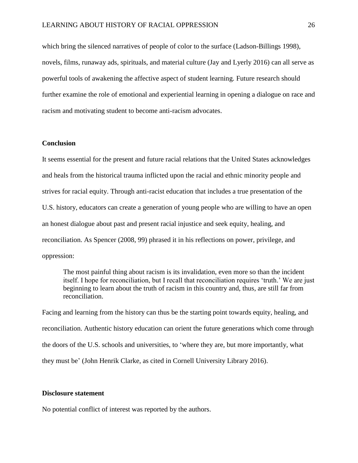which bring the silenced narratives of people of color to the surface (Ladson-Billings 1998), novels, films, runaway ads, spirituals, and material culture (Jay and Lyerly 2016) can all serve as powerful tools of awakening the affective aspect of student learning. Future research should further examine the role of emotional and experiential learning in opening a dialogue on race and racism and motivating student to become anti-racism advocates.

# **Conclusion**

It seems essential for the present and future racial relations that the United States acknowledges and heals from the historical trauma inflicted upon the racial and ethnic minority people and strives for racial equity. Through anti-racist education that includes a true presentation of the U.S. history, educators can create a generation of young people who are willing to have an open an honest dialogue about past and present racial injustice and seek equity, healing, and reconciliation. As Spencer (2008, 99) phrased it in his reflections on power, privilege, and oppression:

The most painful thing about racism is its invalidation, even more so than the incident itself. I hope for reconciliation, but I recall that reconciliation requires 'truth.' We are just beginning to learn about the truth of racism in this country and, thus, are still far from reconciliation.

Facing and learning from the history can thus be the starting point towards equity, healing, and reconciliation. Authentic history education can orient the future generations which come through the doors of the U.S. schools and universities, to 'where they are, but more importantly, what they must be' (John Henrik Clarke, as cited in Cornell University Library 2016).

#### **Disclosure statement**

No potential conflict of interest was reported by the authors.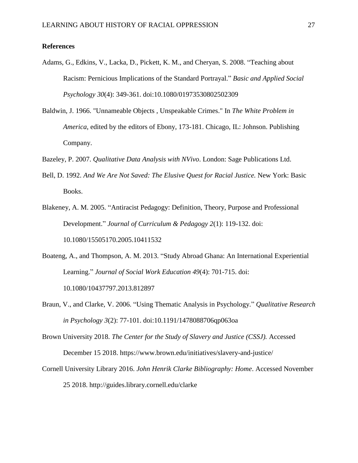## **References**

- Adams, G., Edkins, V., Lacka, D., Pickett, K. M., and Cheryan, S. 2008. "Teaching about Racism: Pernicious Implications of the Standard Portrayal." *Basic and Applied Social Psychology 30*(4): 349-361. doi:10.1080/01973530802502309
- Baldwin, J. 1966. "Unnameable Objects , Unspeakable Crimes." In *The White Problem in America*, edited by the editors of Ebony, 173-181. Chicago, IL: Johnson. Publishing Company.
- Bazeley, P. 2007. *Qualitative Data Analysis with NVivo*. London: Sage Publications Ltd.
- Bell, D. 1992. *And We Are Not Saved: The Elusive Quest for Racial Justice.* New York: Basic Books.
- Blakeney, A. M. 2005. "Antiracist Pedagogy: Definition, Theory, Purpose and Professional Development." *Journal of Curriculum & Pedagogy 2*(1): 119-132. doi: 10.1080/15505170.2005.10411532
- Boateng, A., and Thompson, A. M. 2013. "Study Abroad Ghana: An International Experiential Learning." *Journal of Social Work Education 49*(4): 701-715. doi: 10.1080/10437797.2013.812897
- Braun, V., and Clarke, V. 2006. "Using Thematic Analysis in Psychology." *Qualitative Research in Psychology 3*(2): 77-101. doi:10.1191/1478088706qp063oa

Brown University 2018. *The Center for the Study of Slavery and Justice (CSSJ).* Accessed December 15 2018. https://www.brown.edu/initiatives/slavery-and-justice/

Cornell University Library 2016. *John Henrik Clarke Bibliography: Home*. Accessed November 25 2018. http://guides.library.cornell.edu/clarke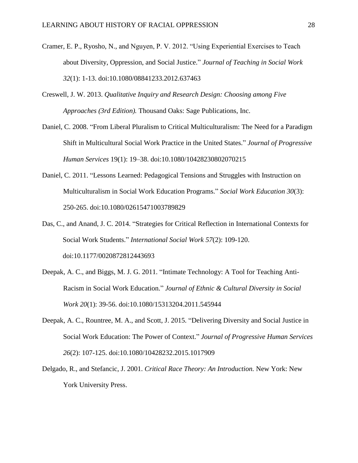- Cramer, E. P., Ryosho, N., and Nguyen, P. V. 2012. "Using Experiential Exercises to Teach about Diversity, Oppression, and Social Justice." *Journal of Teaching in Social Work 32*(1): 1-13. doi:10.1080/08841233.2012.637463
- Creswell, J. W. 2013. *Qualitative Inquiry and Research Design: Choosing among Five Approaches (3rd Edition).* Thousand Oaks: Sage Publications, Inc.
- Daniel, C. 2008. "From Liberal Pluralism to Critical Multiculturalism: The Need for a Paradigm Shift in Multicultural Social Work Practice in the United States." *Journal of Progressive Human Services* 19(1): 19–38. doi:10.1080/10428230802070215
- Daniel, C. 2011. "Lessons Learned: Pedagogical Tensions and Struggles with Instruction on Multiculturalism in Social Work Education Programs." *Social Work Education 30*(3): 250-265. doi:10.1080/02615471003789829
- Das, C., and Anand, J. C. 2014. "Strategies for Critical Reflection in International Contexts for Social Work Students." *International Social Work 57*(2): 109-120. doi:10.1177/0020872812443693
- Deepak, A. C., and Biggs, M. J. G. 2011. "Intimate Technology: A Tool for Teaching Anti-Racism in Social Work Education." *Journal of Ethnic & Cultural Diversity in Social Work 20*(1): 39-56. doi:10.1080/15313204.2011.545944
- Deepak, A. C., Rountree, M. A., and Scott, J. 2015. "Delivering Diversity and Social Justice in Social Work Education: The Power of Context." *Journal of Progressive Human Services 26*(2): 107-125. doi:10.1080/10428232.2015.1017909
- Delgado, R., and Stefancic, J. 2001. *Critical Race Theory: An Introduction.* New York: New York University Press.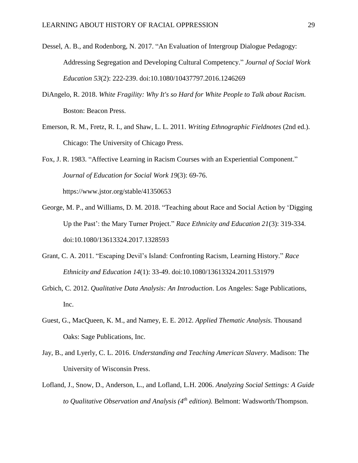- Dessel, A. B., and Rodenborg, N. 2017. "An Evaluation of Intergroup Dialogue Pedagogy: Addressing Segregation and Developing Cultural Competency." *Journal of Social Work Education 53*(2): 222-239. doi:10.1080/10437797.2016.1246269
- DiAngelo, R. 2018. *White Fragility: Why It's so Hard for White People to Talk about Racism.* Boston: [Beacon Press.](https://www.audible.com.au/search?searchProvider=Beacon+Press&ref=a_pd_White-_c1_publisher&pf_rd_p=d67834e7-3c83-48dd-b70c-1f146ffafb0e&pf_rd_r=GMT407M639Y6W9SYWAH4&)
- Emerson, R. M., Fretz, R. I., and Shaw, L. L. 2011. *Writing Ethnographic Fieldnotes* (2nd ed.). Chicago: The University of Chicago Press.
- Fox, J. R. 1983. "Affective Learning in Racism Courses with an Experiential Component." *Journal of Education for Social Work 19*(3): 69-76. https://www.jstor.org/stable/41350653
- George, M. P., and Williams, D. M. 2018. "Teaching about Race and Social Action by 'Digging Up the Past': the Mary Turner Project." *Race Ethnicity and Education 21*(3): 319-334. doi:10.1080/13613324.2017.1328593
- Grant, C. A. 2011. "Escaping Devil's Island: Confronting Racism, Learning History." *Race Ethnicity and Education 14*(1): 33-49. doi:10.1080/13613324.2011.531979
- Grbich, C. 2012. *Qualitative Data Analysis: An Introduction*. Los Angeles: Sage Publications, Inc.
- Guest, G., MacQueen, K. M., and Namey, E. E. 2012. *Applied Thematic Analysis.* Thousand Oaks: Sage Publications, Inc.
- Jay, B., and Lyerly, C. L. 2016. *Understanding and Teaching American Slavery*. Madison: The University of Wisconsin Press.
- Lofland, J., Snow, D., Anderson, L., and Lofland, L.H. 2006. *Analyzing Social Settings: A Guide to Qualitative Observation and Analysis (4th edition).* Belmont: Wadsworth/Thompson.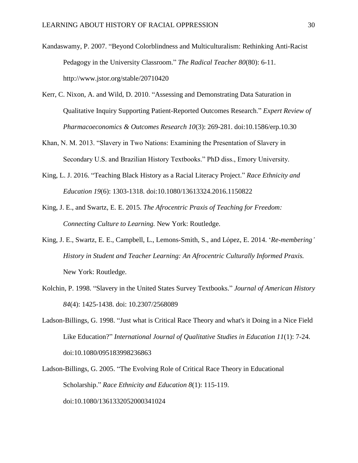Kandaswamy, P. 2007. "Beyond Colorblindness and Multiculturalism: Rethinking Anti-Racist Pedagogy in the University Classroom." *The Radical Teacher 80*(80): 6-11. http://www.jstor.org/stable/20710420

- Kerr, C. Nixon, A. and Wild, D. 2010. "Assessing and Demonstrating Data Saturation in Qualitative Inquiry Supporting Patient-Reported Outcomes Research." *Expert Review of Pharmacoeconomics & Outcomes Research 10*(3): 269-281. doi:10.1586/erp.10.30
- Khan, N. M. 2013. "Slavery in Two Nations: Examining the Presentation of Slavery in Secondary U.S. and Brazilian History Textbooks." PhD diss., Emory University.
- King, L. J. 2016. "Teaching Black History as a Racial Literacy Project." *Race Ethnicity and Education 19*(6): 1303-1318. doi:10.1080/13613324.2016.1150822
- King, J. E., and Swartz, E. E. 2015. *The Afrocentric Praxis of Teaching for Freedom: Connecting Culture to Learning.* New York: Routledge.
- King, J. E., Swartz, E. E., Campbell, L., Lemons-Smith, S., and López, E. 2014. '*Re-membering' History in Student and Teacher Learning: An Afrocentric Culturally Informed Praxis.* New York: Routledge.
- Kolchin, P. 1998. "Slavery in the United States Survey Textbooks." *Journal of American History 84*(4): 1425-1438. doi: 10.2307/2568089
- Ladson-Billings, G. 1998. "Just what is Critical Race Theory and what's it Doing in a Nice Field Like Education?" *International Journal of Qualitative Studies in Education 11*(1): 7-24. doi:10.1080/095183998236863
- Ladson-Billings, G. 2005. "The Evolving Role of Critical Race Theory in Educational Scholarship." *Race Ethnicity and Education 8*(1): 115-119. doi:10.1080/1361332052000341024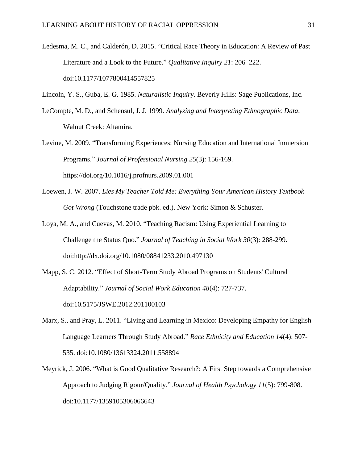Ledesma, M. C., and Calderón, D. 2015. "Critical Race Theory in Education: A Review of Past Literature and a Look to the Future." *Qualitative Inquiry 21*: 206–222. doi:10.1177/1077800414557825

Lincoln, Y. S., Guba, E. G. 1985. *Naturalistic Inquiry.* Beverly Hills: Sage Publications, Inc.

- LeCompte, M. D., and Schensul, J. J. 1999. *Analyzing and Interpreting Ethnographic Data*. Walnut Creek: Altamira.
- Levine, M. 2009. "Transforming Experiences: Nursing Education and International Immersion Programs." *Journal of Professional Nursing 25*(3): 156-169. https://doi.org/10.1016/j.profnurs.2009.01.001
- Loewen, J. W. 2007. *Lies My Teacher Told Me: Everything Your American History Textbook Got Wrong* (Touchstone trade pbk. ed.). New York: Simon & Schuster.
- Loya, M. A., and Cuevas, M. 2010. "Teaching Racism: Using Experiential Learning to Challenge the Status Quo." *Journal of Teaching in Social Work 30*(3): 288-299. doi:http://dx.doi.org/10.1080/08841233.2010.497130
- Mapp, S. C. 2012. "Effect of Short-Term Study Abroad Programs on Students' Cultural Adaptability." *Journal of Social Work Education 48*(4): 727-737. doi:10.5175/JSWE.2012.201100103
- Marx, S., and Pray, L. 2011. "Living and Learning in Mexico: Developing Empathy for English Language Learners Through Study Abroad." *Race Ethnicity and Education 14*(4): 507- 535. doi:10.1080/13613324.2011.558894
- Meyrick, J. 2006. "What is Good Qualitative Research?: A First Step towards a Comprehensive Approach to Judging Rigour/Quality." *Journal of Health Psychology 11*(5): 799-808. doi:10.1177/1359105306066643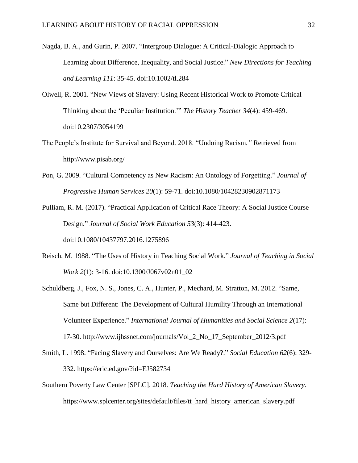- Nagda, B. A., and Gurin, P. 2007. "Intergroup Dialogue: A Critical-Dialogic Approach to Learning about Difference, Inequality, and Social Justice." *New Directions for Teaching and Learning 111*: 35-45. doi:10.1002/tl.284
- Olwell, R. 2001. "New Views of Slavery: Using Recent Historical Work to Promote Critical Thinking about the 'Peculiar Institution.'" *The History Teacher 34*(4): 459-469. doi:10.2307/3054199
- The People's Institute for Survival and Beyond. 2018. "Undoing Racism*."* Retrieved from http://www.pisab.org/
- Pon, G. 2009. "Cultural Competency as New Racism: An Ontology of Forgetting." *Journal of Progressive Human Services 20*(1): 59-71. doi:10.1080/10428230902871173
- Pulliam, R. M. (2017). "Practical Application of Critical Race Theory: A Social Justice Course Design." *Journal of Social Work Education 53*(3): 414-423. doi:10.1080/10437797.2016.1275896
- Reisch, M. 1988. "The Uses of History in Teaching Social Work." *Journal of Teaching in Social Work 2*(1): 3-16. doi:10.1300/J067v02n01\_02
- Schuldberg, J., Fox, N. S., Jones, C. A., Hunter, P., Mechard, M. Stratton, M. 2012. "Same, Same but Different: The Development of Cultural Humility Through an International Volunteer Experience." *International Journal of Humanities and Social Science 2*(17): 17-30. http://www.ijhssnet.com/journals/Vol\_2\_No\_17\_September\_2012/3.pdf
- Smith, L. 1998. "Facing Slavery and Ourselves: Are We Ready?." *Social Education 62*(6): 329- 332. https://eric.ed.gov/?id=EJ582734
- Southern Poverty Law Center [SPLC]. 2018. *Teaching the Hard History of American Slavery*. https://www.splcenter.org/sites/default/files/tt\_hard\_history\_american\_slavery.pdf